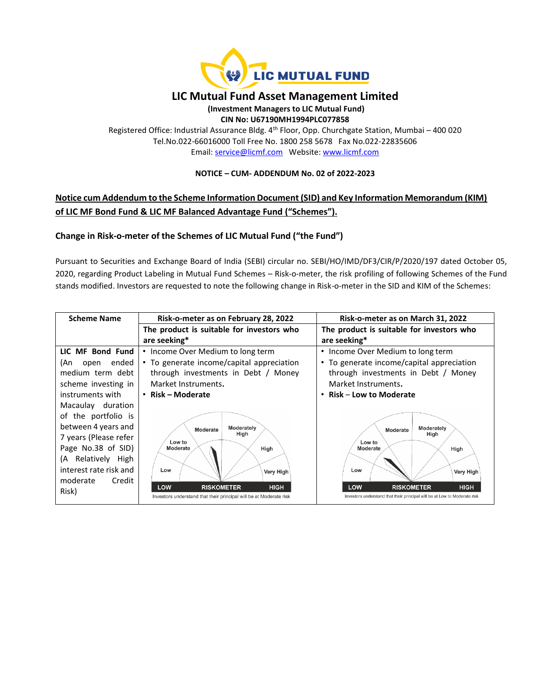

# **LIC Mutual Fund Asset Management Limited**

#### **(Investment Managers to LIC Mutual Fund) CIN No: U67190MH1994PLC077858**

Registered Office: Industrial Assurance Bldg. 4<sup>th</sup> Floor, Opp. Churchgate Station, Mumbai - 400 020 Tel.No.022-66016000 Toll Free No. 1800 258 5678 Fax No.022-22835606 Email: [service@licmf.com](mailto:service@licnomuramf.com) Website: [www.licmf.com](http://www.licnomuramf.com/)

### **NOTICE – CUM- ADDENDUM No. 02 of 2022-2023**

## **Notice cum Addendum to the Scheme Information Document (SID) and Key Information Memorandum (KIM) of LIC MF Bond Fund & LIC MF Balanced Advantage Fund ("Schemes").**

### **Change in Risk-o-meter of the Schemes of LIC Mutual Fund ("the Fund")**

Pursuant to Securities and Exchange Board of India (SEBI) circular no. SEBI/HO/IMD/DF3/CIR/P/2020/197 dated October 05, 2020, regarding Product Labeling in Mutual Fund Schemes – Risk-o-meter, the risk profiling of following Schemes of the Fund stands modified. Investors are requested to note the following change in Risk-o-meter in the SID and KIM of the Schemes:

| <b>Scheme Name</b>     | Risk-o-meter as on February 28, 2022                                                                          | Risk-o-meter as on March 31, 2022                                                                                           |
|------------------------|---------------------------------------------------------------------------------------------------------------|-----------------------------------------------------------------------------------------------------------------------------|
|                        | The product is suitable for investors who                                                                     | The product is suitable for investors who                                                                                   |
|                        | are seeking*                                                                                                  | are seeking*                                                                                                                |
| LIC MF Bond Fund       | • Income Over Medium to long term                                                                             | Income Over Medium to long term<br>٠                                                                                        |
| ended<br>(An<br>open   | • To generate income/capital appreciation                                                                     | • To generate income/capital appreciation                                                                                   |
| medium term debt       | through investments in Debt / Money                                                                           | through investments in Debt / Money                                                                                         |
| scheme investing in    | Market Instruments.                                                                                           | Market Instruments.                                                                                                         |
| instruments with       | • Risk – Moderate                                                                                             | Risk – Low to Moderate<br>$\bullet$                                                                                         |
| Macaulay duration      |                                                                                                               |                                                                                                                             |
| of the portfolio is    |                                                                                                               |                                                                                                                             |
| between 4 years and    | Moderately<br>Moderate                                                                                        | Moderately<br>Moderate                                                                                                      |
| 7 years (Please refer  | High<br>Low to                                                                                                | High<br>Low to                                                                                                              |
| Page No.38 of SID)     | Moderate<br>High                                                                                              | Moderate<br>High                                                                                                            |
| Relatively High<br>(A  |                                                                                                               |                                                                                                                             |
| interest rate risk and | Low<br>Very High                                                                                              | Low<br>Very High                                                                                                            |
| moderate<br>Credit     |                                                                                                               |                                                                                                                             |
| Risk)                  | LOW<br><b>HIGH</b><br><b>RISKOMETER</b><br>Investors understand that their principal will be at Moderate risk | <b>LOW</b><br><b>HIGH</b><br><b>RISKOMETER</b><br>Investors understand that their principal will be at Low to Moderate risk |
|                        |                                                                                                               |                                                                                                                             |